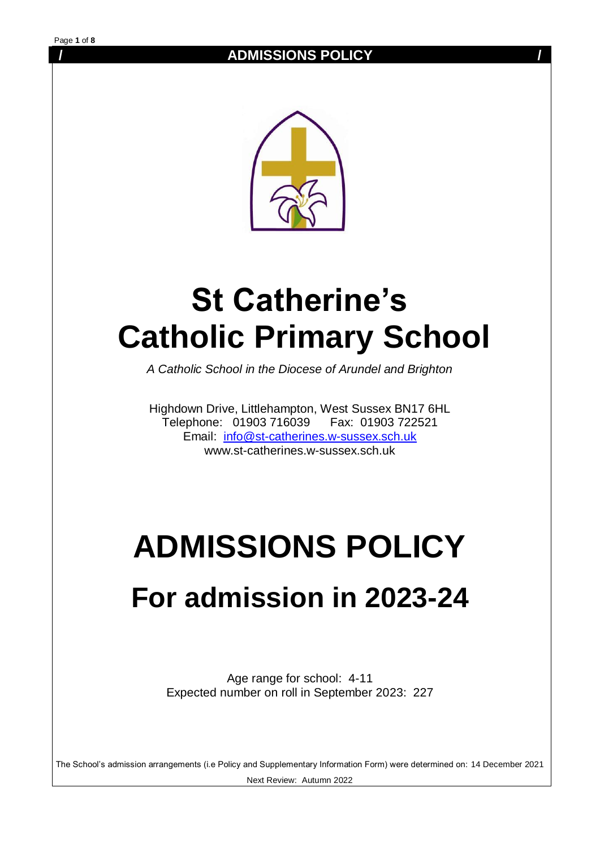

# **St Catherine's Catholic Primary School**

*A Catholic School in the Diocese of Arundel and Brighton*

Highdown Drive, Littlehampton, West Sussex BN17 6HL Telephone: 01903 716039 Fax: 01903 722521 Email: [info@st-catherines.w-sussex.sch.uk](mailto:info@st-catherines.w-sussex.sch.uk)  www.st-catherines.w-sussex.sch.uk

# **ADMISSIONS POLICY**

## **For admission in 2023-24**

Age range for school: 4-11 Expected number on roll in September 2023: 227

The School's admission arrangements (i.e Policy and Supplementary Information Form) were determined on: 14 December 2021 Next Review: Autumn 2022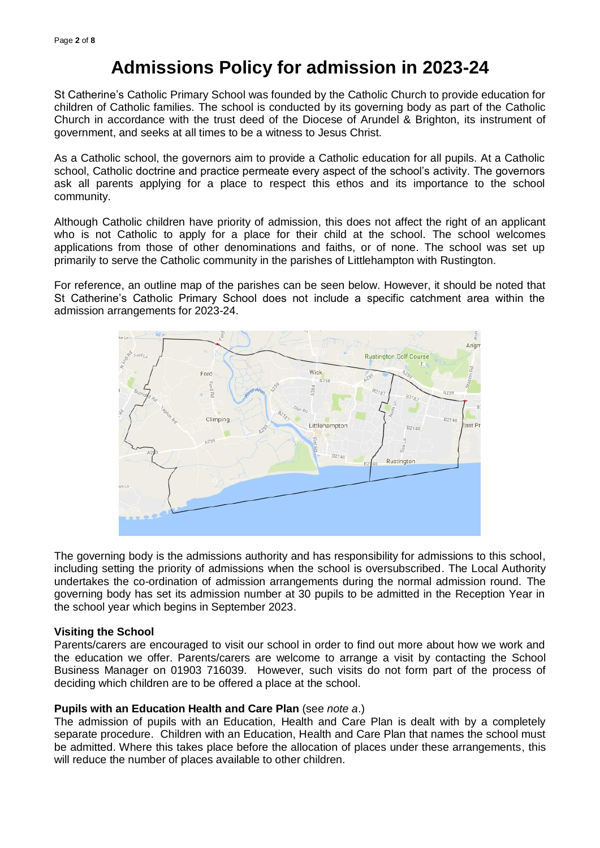## **Admissions Policy for admission in 2023-24**

St Catherine's Catholic Primary School was founded by the Catholic Church to provide education for children of Catholic families. The school is conducted by its governing body as part of the Catholic Church in accordance with the trust deed of the Diocese of Arundel & Brighton, its instrument of government, and seeks at all times to be a witness to Jesus Christ.

As a Catholic school, the governors aim to provide a Catholic education for all pupils. At a Catholic school, Catholic doctrine and practice permeate every aspect of the school's activity. The governors ask all parents applying for a place to respect this ethos and its importance to the school community.

Although Catholic children have priority of admission, this does not affect the right of an applicant who is not Catholic to apply for a place for their child at the school. The school welcomes applications from those of other denominations and faiths, or of none. The school was set up primarily to serve the Catholic community in the parishes of Littlehampton with Rustington.

For reference, an outline map of the parishes can be seen below. However, it should be noted that St Catherine's Catholic Primary School does not include a specific catchment area within the admission arrangements for 2023-24.



The governing body is the admissions authority and has responsibility for admissions to this school, including setting the priority of admissions when the school is oversubscribed. The Local Authority undertakes the co-ordination of admission arrangements during the normal admission round. The governing body has set its admission number at 30 pupils to be admitted in the Reception Year in the school year which begins in September 2023.

#### **Visiting the School**

Parents/carers are encouraged to visit our school in order to find out more about how we work and the education we offer. Parents/carers are welcome to arrange a visit by contacting the School Business Manager on 01903 716039. However, such visits do not form part of the process of deciding which children are to be offered a place at the school.

#### **Pupils with an Education Health and Care Plan** (see *note a*.)

The admission of pupils with an Education, Health and Care Plan is dealt with by a completely separate procedure. Children with an Education, Health and Care Plan that names the school must be admitted. Where this takes place before the allocation of places under these arrangements, this will reduce the number of places available to other children.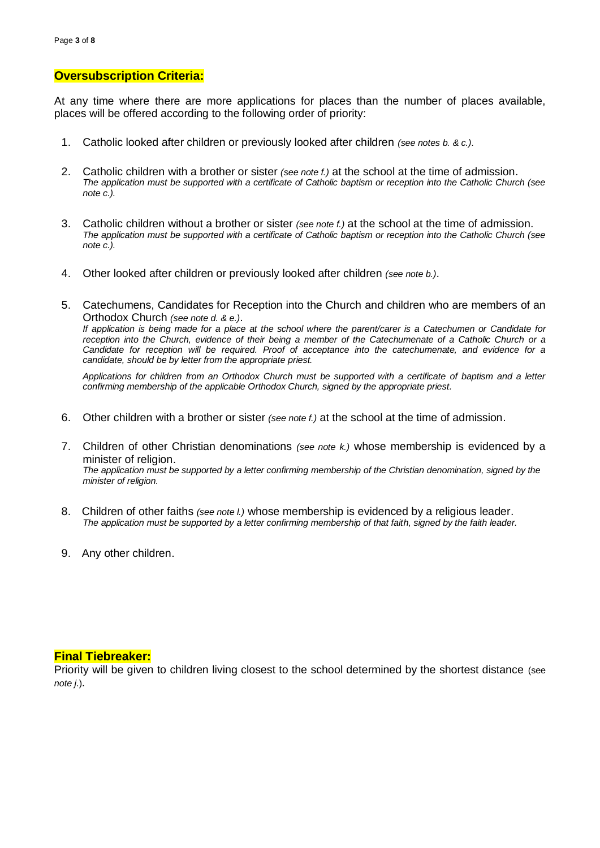#### **Oversubscription Criteria:**

At any time where there are more applications for places than the number of places available, places will be offered according to the following order of priority:

- 1. Catholic looked after children or previously looked after children *(see notes b. & c.)*.
- 2. Catholic children with a brother or sister *(see note f.)* at the school at the time of admission. *The application must be supported with a certificate of Catholic baptism or reception into the Catholic Church (see note c.).*
- 3. Catholic children without a brother or sister *(see note f.)* at the school at the time of admission. *The application must be supported with a certificate of Catholic baptism or reception into the Catholic Church (see note c.).*
- 4. Other looked after children or previously looked after children *(see note b.)*.
- 5. Catechumens, Candidates for Reception into the Church and children who are members of an Orthodox Church *(see note d. & e.)*. *If application is being made for a place at the school where the parent/carer is a Catechumen or Candidate for reception into the Church, evidence of their being a member of the Catechumenate of a Catholic Church or a Candidate for reception will be required. Proof of acceptance into the catechumenate, and evidence for a candidate, should be by letter from the appropriate priest.*

*Applications for children from an Orthodox Church must be supported with a certificate of baptism and a letter confirming membership of the applicable Orthodox Church, signed by the appropriate priest.*

- 6. Other children with a brother or sister *(see note f.)* at the school at the time of admission.
- 7. Children of other Christian denominations *(see note k.)* whose membership is evidenced by a minister of religion. *The application must be supported by a letter confirming membership of the Christian denomination, signed by the minister of religion.*
- 8. Children of other faiths *(see note l.)* whose membership is evidenced by a religious leader. *The application must be supported by a letter confirming membership of that faith, signed by the faith leader.*
- 9. Any other children.

#### **Final Tiebreaker:**

Priority will be given to children living closest to the school determined by the shortest distance (see *note j*.).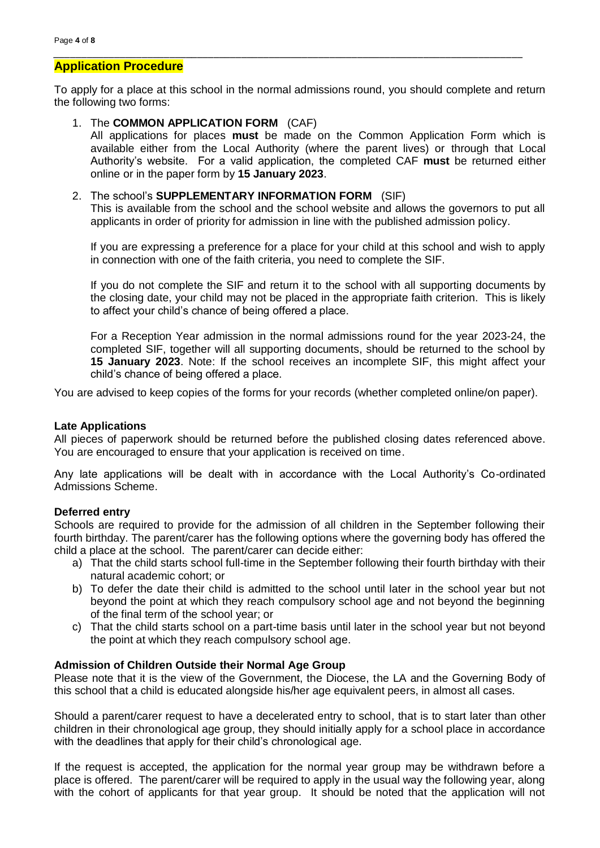#### **Application Procedure**

To apply for a place at this school in the normal admissions round, you should complete and return the following two forms:

*\_\_\_\_\_\_\_\_\_\_\_\_\_\_\_\_\_\_\_\_\_\_\_\_\_\_\_\_\_\_\_\_\_\_\_\_\_\_\_\_\_\_\_\_\_\_\_\_\_\_\_\_\_\_\_\_\_\_\_\_\_\_\_\_\_\_\_\_\_\_\_\_\_\_\_\_\_\_\_\_\_\_\_\_\_*

#### 1. The **COMMON APPLICATION FORM** (CAF)

All applications for places **must** be made on the Common Application Form which is available either from the Local Authority (where the parent lives) or through that Local Authority's website. For a valid application, the completed CAF **must** be returned either online or in the paper form by **15 January 2023**.

#### 2. The school's **SUPPLEMENTARY INFORMATION FORM** (SIF)

This is available from the school and the school website and allows the governors to put all applicants in order of priority for admission in line with the published admission policy.

If you are expressing a preference for a place for your child at this school and wish to apply in connection with one of the faith criteria, you need to complete the SIF.

If you do not complete the SIF and return it to the school with all supporting documents by the closing date, your child may not be placed in the appropriate faith criterion. This is likely to affect your child's chance of being offered a place.

For a Reception Year admission in the normal admissions round for the year 2023-24, the completed SIF, together will all supporting documents, should be returned to the school by **15 January 2023**. Note: If the school receives an incomplete SIF, this might affect your child's chance of being offered a place.

You are advised to keep copies of the forms for your records (whether completed online/on paper).

#### **Late Applications**

All pieces of paperwork should be returned before the published closing dates referenced above. You are encouraged to ensure that your application is received on time.

Any late applications will be dealt with in accordance with the Local Authority's Co-ordinated Admissions Scheme.

#### **Deferred entry**

Schools are required to provide for the admission of all children in the September following their fourth birthday. The parent/carer has the following options where the governing body has offered the child a place at the school. The parent/carer can decide either:

- a) That the child starts school full-time in the September following their fourth birthday with their natural academic cohort; or
- b) To defer the date their child is admitted to the school until later in the school year but not beyond the point at which they reach compulsory school age and not beyond the beginning of the final term of the school year; or
- c) That the child starts school on a part-time basis until later in the school year but not beyond the point at which they reach compulsory school age.

#### **Admission of Children Outside their Normal Age Group**

Please note that it is the view of the Government, the Diocese, the LA and the Governing Body of this school that a child is educated alongside his/her age equivalent peers, in almost all cases.

Should a parent/carer request to have a decelerated entry to school, that is to start later than other children in their chronological age group, they should initially apply for a school place in accordance with the deadlines that apply for their child's chronological age.

If the request is accepted, the application for the normal year group may be withdrawn before a place is offered. The parent/carer will be required to apply in the usual way the following year, along with the cohort of applicants for that year group. It should be noted that the application will not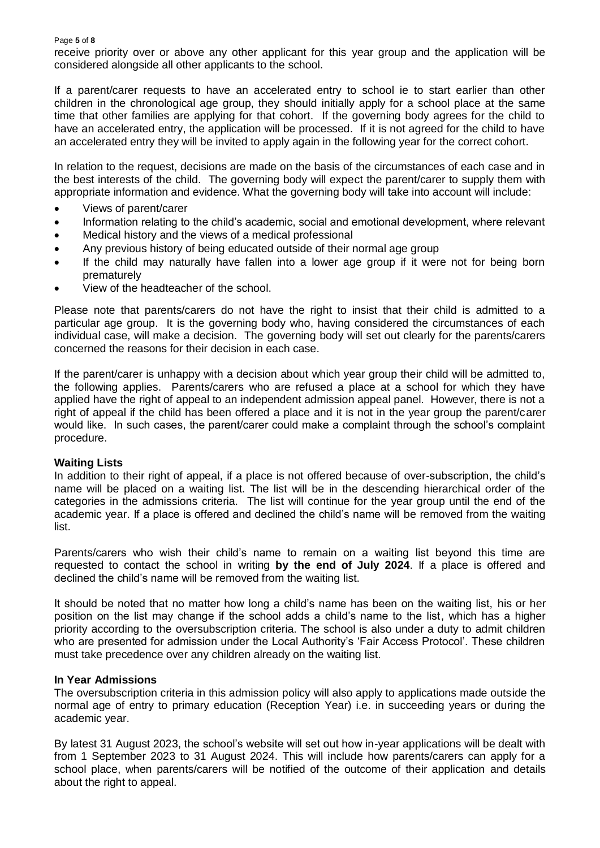receive priority over or above any other applicant for this year group and the application will be considered alongside all other applicants to the school.

If a parent/carer requests to have an accelerated entry to school ie to start earlier than other children in the chronological age group, they should initially apply for a school place at the same time that other families are applying for that cohort. If the governing body agrees for the child to have an accelerated entry, the application will be processed. If it is not agreed for the child to have an accelerated entry they will be invited to apply again in the following year for the correct cohort.

In relation to the request, decisions are made on the basis of the circumstances of each case and in the best interests of the child. The governing body will expect the parent/carer to supply them with appropriate information and evidence. What the governing body will take into account will include:

- Views of parent/carer
- Information relating to the child's academic, social and emotional development, where relevant
- Medical history and the views of a medical professional
- Any previous history of being educated outside of their normal age group
- If the child may naturally have fallen into a lower age group if it were not for being born prematurely
- View of the headteacher of the school.

Please note that parents/carers do not have the right to insist that their child is admitted to a particular age group. It is the governing body who, having considered the circumstances of each individual case, will make a decision. The governing body will set out clearly for the parents/carers concerned the reasons for their decision in each case.

If the parent/carer is unhappy with a decision about which year group their child will be admitted to, the following applies. Parents/carers who are refused a place at a school for which they have applied have the right of appeal to an independent admission appeal panel. However, there is not a right of appeal if the child has been offered a place and it is not in the year group the parent/carer would like. In such cases, the parent/carer could make a complaint through the school's complaint procedure.

#### **Waiting Lists**

In addition to their right of appeal, if a place is not offered because of over-subscription, the child's name will be placed on a waiting list. The list will be in the descending hierarchical order of the categories in the admissions criteria. The list will continue for the year group until the end of the academic year. If a place is offered and declined the child's name will be removed from the waiting list.

Parents/carers who wish their child's name to remain on a waiting list beyond this time are requested to contact the school in writing **by the end of July 2024**. If a place is offered and declined the child's name will be removed from the waiting list.

It should be noted that no matter how long a child's name has been on the waiting list, his or her position on the list may change if the school adds a child's name to the list, which has a higher priority according to the oversubscription criteria. The school is also under a duty to admit children who are presented for admission under the Local Authority's 'Fair Access Protocol'. These children must take precedence over any children already on the waiting list.

#### **In Year Admissions**

The oversubscription criteria in this admission policy will also apply to applications made outside the normal age of entry to primary education (Reception Year) i.e. in succeeding years or during the academic year.

By latest 31 August 2023, the school's website will set out how in-year applications will be dealt with from 1 September 2023 to 31 August 2024. This will include how parents/carers can apply for a school place, when parents/carers will be notified of the outcome of their application and details about the right to appeal.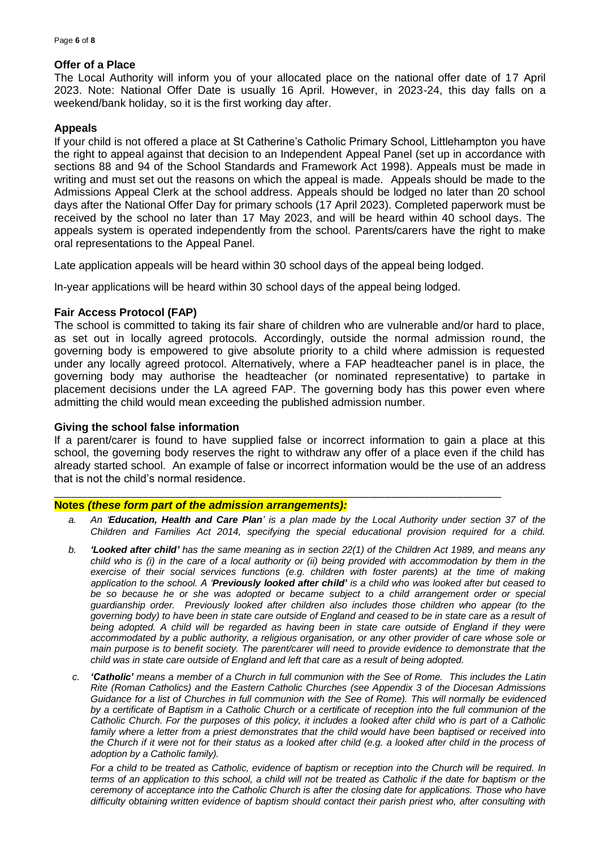#### **Offer of a Place**

The Local Authority will inform you of your allocated place on the national offer date of 17 April 2023. Note: National Offer Date is usually 16 April. However, in 2023-24, this day falls on a weekend/bank holiday, so it is the first working day after.

#### **Appeals**

If your child is not offered a place at St Catherine's Catholic Primary School, Littlehampton you have the right to appeal against that decision to an Independent Appeal Panel (set up in accordance with sections 88 and 94 of the School Standards and Framework Act 1998). Appeals must be made in writing and must set out the reasons on which the appeal is made. Appeals should be made to the Admissions Appeal Clerk at the school address. Appeals should be lodged no later than 20 school days after the National Offer Day for primary schools (17 April 2023). Completed paperwork must be received by the school no later than 17 May 2023, and will be heard within 40 school days. The appeals system is operated independently from the school. Parents/carers have the right to make oral representations to the Appeal Panel.

Late application appeals will be heard within 30 school days of the appeal being lodged.

In-year applications will be heard within 30 school days of the appeal being lodged.

#### **Fair Access Protocol (FAP)**

The school is committed to taking its fair share of children who are vulnerable and/or hard to place, as set out in locally agreed protocols. Accordingly, outside the normal admission round, the governing body is empowered to give absolute priority to a child where admission is requested under any locally agreed protocol. Alternatively, where a FAP headteacher panel is in place, the governing body may authorise the headteacher (or nominated representative) to partake in placement decisions under the LA agreed FAP. The governing body has this power even where admitting the child would mean exceeding the published admission number.

#### **Giving the school false information**

If a parent/carer is found to have supplied false or incorrect information to gain a place at this school, the governing body reserves the right to withdraw any offer of a place even if the child has already started school. An example of false or incorrect information would be the use of an address that is not the child's normal residence.

#### \_\_\_\_\_\_\_\_\_\_\_\_\_\_\_\_\_\_\_\_\_\_\_\_\_\_\_\_\_\_\_\_\_\_\_\_\_\_\_\_\_\_\_\_\_\_\_\_\_\_\_\_\_\_\_\_\_\_\_\_\_\_\_\_\_\_\_\_\_\_\_\_\_\_\_\_\_\_\_\_\_ **Notes** *(these form part of the admission arrangements):*

- *a. An 'Education, Health and Care Plan' is a plan made by the Local Authority under section 37 of the Children and Families Act 2014, specifying the special educational provision required for a child.*
- *b. 'Looked after child' has the same meaning as in section 22(1) of the Children Act 1989, and means any child who is (i) in the care of a local authority or (ii) being provided with accommodation by them in the exercise of their social services functions (e.g. children with foster parents) at the time of making application to the school. A 'Previously looked after child' is a child who was looked after but ceased to be so because he or she was adopted or became subject to a child arrangement order or special guardianship order. Previously looked after children also includes those children who appear (to the governing body) to have been in state care outside of England and ceased to be in state care as a result of being adopted. A child will be regarded as having been in state care outside of England if they were accommodated by a public authority, a religious organisation, or any other provider of care whose sole or main purpose is to benefit society. The parent/carer will need to provide evidence to demonstrate that the child was in state care outside of England and left that care as a result of being adopted.*
- *c. 'Catholic' means a member of a Church in full communion with the See of Rome. This includes the Latin Rite (Roman Catholics) and the Eastern Catholic Churches (see Appendix 3 of the Diocesan Admissions Guidance for a list of Churches in full communion with the See of Rome). This will normally be evidenced by a certificate of Baptism in a Catholic Church or a certificate of reception into the full communion of the Catholic Church. For the purposes of this policy, it includes a looked after child who is part of a Catholic*  family where a letter from a priest demonstrates that the child would have been baptised or received into *the Church if it were not for their status as a looked after child (e.g. a looked after child in the process of adoption by a Catholic family).*

*For a child to be treated as Catholic, evidence of baptism or reception into the Church will be required. In terms of an application to this school, a child will not be treated as Catholic if the date for baptism or the ceremony of acceptance into the Catholic Church is after the closing date for applications. Those who have difficulty obtaining written evidence of baptism should contact their parish priest who, after consulting with*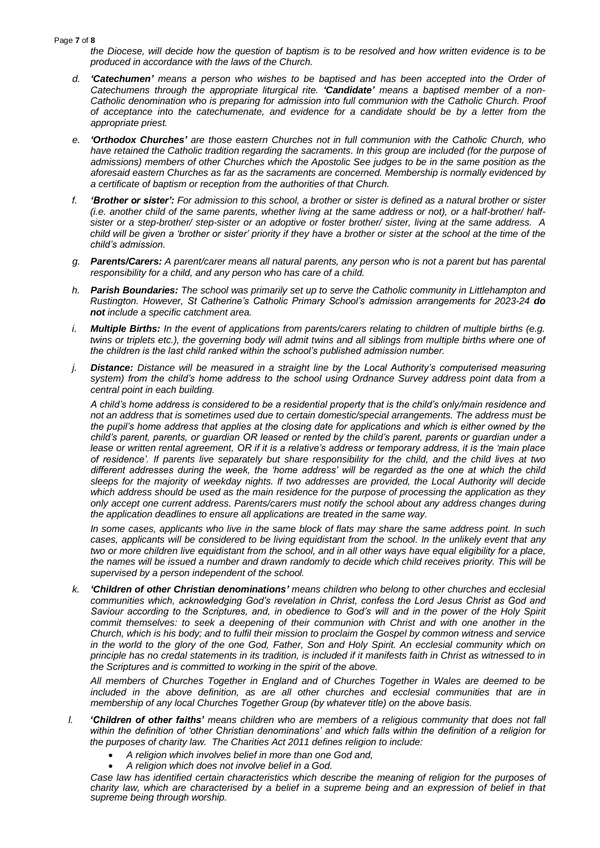#### Page **7** of **8**

*the Diocese, will decide how the question of baptism is to be resolved and how written evidence is to be produced in accordance with the laws of the Church.* 

- *d. 'Catechumen' means a person who wishes to be baptised and has been accepted into the Order of Catechumens through the appropriate liturgical rite. 'Candidate' means a baptised member of a non-Catholic denomination who is preparing for admission into full communion with the Catholic Church. Proof of acceptance into the catechumenate, and evidence for a candidate should be by a letter from the appropriate priest.*
- *e. 'Orthodox Churches' are those eastern Churches not in full communion with the Catholic Church, who have retained the Catholic tradition regarding the sacraments. In this group are included (for the purpose of admissions) members of other Churches which the Apostolic See judges to be in the same position as the aforesaid eastern Churches as far as the sacraments are concerned. Membership is normally evidenced by a certificate of baptism or reception from the authorities of that Church.*
- *f. 'Brother or sister': For admission to this school, a brother or sister is defined as a natural brother or sister (i.e. another child of the same parents, whether living at the same address or not), or a half-brother/ halfsister or a step-brother/ step-sister or an adoptive or foster brother/ sister, living at the same address. A child will be given a 'brother or sister' priority if they have a brother or sister at the school at the time of the child's admission.*
- *g. Parents/Carers: A parent/carer means all natural parents, any person who is not a parent but has parental responsibility for a child, and any person who has care of a child.*
- *h. Parish Boundaries: The school was primarily set up to serve the Catholic community in Littlehampton and Rustington. However, St Catherine's Catholic Primary School's admission arrangements for 2023-24 do not include a specific catchment area.*
- *i. Multiple Births: In the event of applications from parents/carers relating to children of multiple births (e.g. twins or triplets etc.), the governing body will admit twins and all siblings from multiple births where one of the children is the last child ranked within the school's published admission number.*
- *j. Distance: Distance will be measured in a straight line by the Local Authority's computerised measuring system) from the child's home address to the school using Ordnance Survey address point data from a central point in each building.*

*A child's home address is considered to be a residential property that is the child's only/main residence and not an address that is sometimes used due to certain domestic/special arrangements. The address must be the pupil's home address that applies at the closing date for applications and which is either owned by the child's parent, parents, or guardian OR leased or rented by the child's parent, parents or guardian under a lease or written rental agreement, OR if it is a relative's address or temporary address, it is the 'main place of residence'. If parents live separately but share responsibility for the child, and the child lives at two different addresses during the week, the 'home address' will be regarded as the one at which the child sleeps for the majority of weekday nights. If two addresses are provided, the Local Authority will decide which address should be used as the main residence for the purpose of processing the application as they only accept one current address. Parents/carers must notify the school about any address changes during the application deadlines to ensure all applications are treated in the same way.*

*In some cases, applicants who live in the same block of flats may share the same address point. In such cases, applicants will be considered to be living equidistant from the school. In the unlikely event that any two or more children live equidistant from the school, and in all other ways have equal eligibility for a place, the names will be issued a number and drawn randomly to decide which child receives priority. This will be supervised by a person independent of the school.*

*k. 'Children of other Christian denominations' means children who belong to other churches and ecclesial communities which, acknowledging God's revelation in Christ, confess the Lord Jesus Christ as God and*  Saviour according to the Scriptures, and, in obedience to God's will and in the power of the Holy Spirit commit themselves: to seek a deepening of their communion with Christ and with one another in the *Church, which is his body; and to fulfil their mission to proclaim the Gospel by common witness and service*  in the world to the glory of the one God, Father, Son and Holy Spirit. An ecclesial community which on *principle has no credal statements in its tradition, is included if it manifests faith in Christ as witnessed to in the Scriptures and is committed to working in the spirit of the above.* 

*All members of Churches Together in England and of Churches Together in Wales are deemed to be included in the above definition, as are all other churches and ecclesial communities that are in membership of any local Churches Together Group (by whatever title) on the above basis.*

- *l. 'Children of other faiths' means children who are members of a religious community that does not fall within the definition of 'other Christian denominations' and which falls within the definition of a religion for the purposes of charity law. The Charities Act 2011 defines religion to include:*
	- *A religion which involves belief in more than one God and,*
	- *A religion which does not involve belief in a God.*

*Case law has identified certain characteristics which describe the meaning of religion for the purposes of charity law, which are characterised by a belief in a supreme being and an expression of belief in that supreme being through worship.*